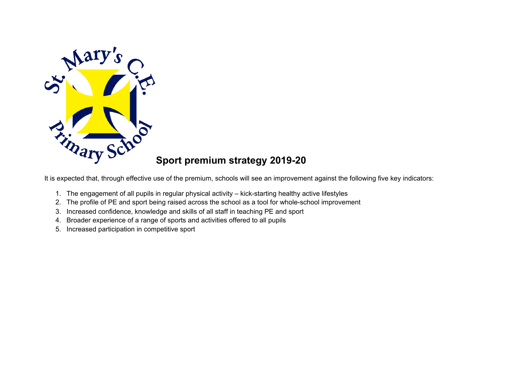

## **Sport premium strategy 2019-20**

It is expected that, through effective use of the premium, schools will see an improvement against the following five key indicators:

- 1. The engagement of all pupils in regular physical activity kick-starting healthy active lifestyles
- 2. The profile of PE and sport being raised across the school as a tool for whole-school improvement
- 3. Increased confidence, knowledge and skills of all staff in teaching PE and sport
- 4. Broader experience of a range of sports and activities offered to all pupils
- 5. Increased participation in competitive sport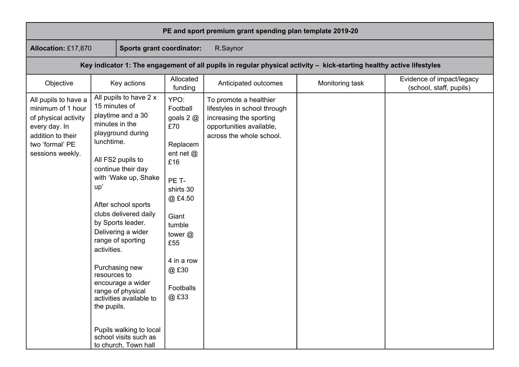| PE and sport premium grant spending plan template 2019-20                                                                                      |                                                                                                                                                                                                                                                                                                                                                                                                                                                                                                                              |                                                                                                                                                                                       |                                                                                                                                           |                 |                                                      |
|------------------------------------------------------------------------------------------------------------------------------------------------|------------------------------------------------------------------------------------------------------------------------------------------------------------------------------------------------------------------------------------------------------------------------------------------------------------------------------------------------------------------------------------------------------------------------------------------------------------------------------------------------------------------------------|---------------------------------------------------------------------------------------------------------------------------------------------------------------------------------------|-------------------------------------------------------------------------------------------------------------------------------------------|-----------------|------------------------------------------------------|
| <b>Allocation: £17,870</b>                                                                                                                     | <b>Sports grant coordinator:</b>                                                                                                                                                                                                                                                                                                                                                                                                                                                                                             |                                                                                                                                                                                       | R.Saynor                                                                                                                                  |                 |                                                      |
| Key indicator 1: The engagement of all pupils in regular physical activity - kick-starting healthy active lifestyles                           |                                                                                                                                                                                                                                                                                                                                                                                                                                                                                                                              |                                                                                                                                                                                       |                                                                                                                                           |                 |                                                      |
| Objective                                                                                                                                      | Key actions                                                                                                                                                                                                                                                                                                                                                                                                                                                                                                                  | Allocated<br>funding                                                                                                                                                                  | Anticipated outcomes                                                                                                                      | Monitoring task | Evidence of impact/legacy<br>(school, staff, pupils) |
| All pupils to have a<br>minimum of 1 hour<br>of physical activity<br>every day. In<br>addition to their<br>two 'formal' PE<br>sessions weekly. | All pupils to have 2 x<br>15 minutes of<br>playtime and a 30<br>minutes in the<br>playground during<br>lunchtime.<br>All FS2 pupils to<br>continue their day<br>with 'Wake up, Shake<br>up'<br>After school sports<br>clubs delivered daily<br>by Sports leader.<br>Delivering a wider<br>range of sporting<br>activities.<br>Purchasing new<br>resources to<br>encourage a wider<br>range of physical<br>activities available to<br>the pupils.<br>Pupils walking to local<br>school visits such as<br>to church, Town hall | YPO:<br>Football<br>goals $2@$<br>£70<br>Replacem<br>ent net @<br>£16<br>PE T-<br>shirts 30<br>@£4.50<br>Giant<br>tumble<br>tower@<br>£55<br>4 in a row<br>@£30<br>Footballs<br>@ £33 | To promote a healthier<br>lifestyles in school through<br>increasing the sporting<br>opportunities available,<br>across the whole school. |                 |                                                      |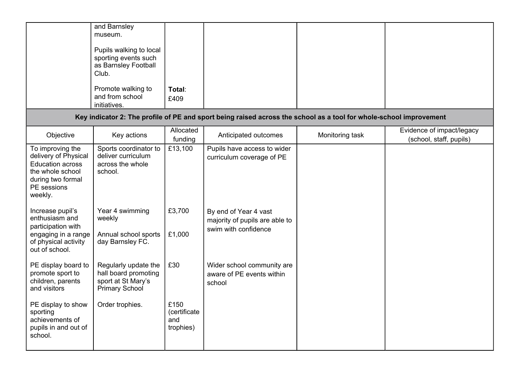|                                                                                                                                        | and Barnsley<br>museum.<br>Pupils walking to local<br>sporting events such<br>as Barnsley Football<br>Club.<br>Promote walking to<br>and from school<br>initiatives. | Total:<br>£409                           |                                                                                                                    |                 |                                                      |
|----------------------------------------------------------------------------------------------------------------------------------------|----------------------------------------------------------------------------------------------------------------------------------------------------------------------|------------------------------------------|--------------------------------------------------------------------------------------------------------------------|-----------------|------------------------------------------------------|
|                                                                                                                                        |                                                                                                                                                                      |                                          | Key indicator 2: The profile of PE and sport being raised across the school as a tool for whole-school improvement |                 |                                                      |
| Objective                                                                                                                              | Key actions                                                                                                                                                          | Allocated<br>funding                     | Anticipated outcomes                                                                                               | Monitoring task | Evidence of impact/legacy<br>(school, staff, pupils) |
| To improving the<br>delivery of Physical<br><b>Education across</b><br>the whole school<br>during two formal<br>PE sessions<br>weekly. | Sports coordinator to<br>deliver curriculum<br>across the whole<br>school.                                                                                           | £13,100                                  | Pupils have access to wider<br>curriculum coverage of PE                                                           |                 |                                                      |
| Increase pupil's<br>enthusiasm and<br>participation with<br>engaging in a range<br>of physical activity<br>out of school.              | Year 4 swimming<br>weekly<br>Annual school sports<br>day Barnsley FC.                                                                                                | £3,700<br>£1,000                         | By end of Year 4 vast<br>majority of pupils are able to<br>swim with confidence                                    |                 |                                                      |
| PE display board to<br>promote sport to<br>children, parents<br>and visitors                                                           | Regularly update the<br>hall board promoting<br>sport at St Mary's<br><b>Primary School</b>                                                                          | £30                                      | Wider school community are<br>aware of PE events within<br>school                                                  |                 |                                                      |
| PE display to show<br>sporting<br>achievements of<br>pupils in and out of<br>school.                                                   | Order trophies.                                                                                                                                                      | £150<br>(certificate<br>and<br>trophies) |                                                                                                                    |                 |                                                      |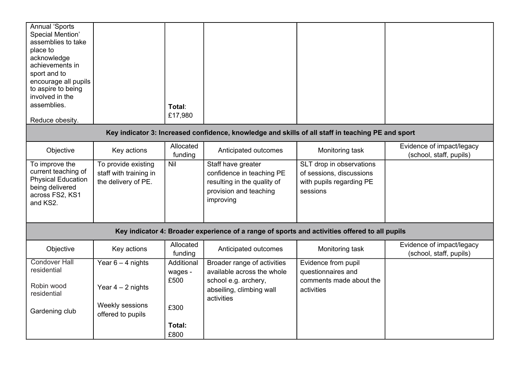| <b>Annual 'Sports</b><br>Special Mention'<br>assemblies to take<br>place to<br>acknowledge<br>achievements in<br>sport and to<br>encourage all pupils<br>to aspire to being<br>involved in the<br>assemblies.<br>Reduce obesity. |                                                                      | Total:<br>£17,980             |                                                                                                                       |                                                                                              |                                                      |
|----------------------------------------------------------------------------------------------------------------------------------------------------------------------------------------------------------------------------------|----------------------------------------------------------------------|-------------------------------|-----------------------------------------------------------------------------------------------------------------------|----------------------------------------------------------------------------------------------|------------------------------------------------------|
|                                                                                                                                                                                                                                  |                                                                      |                               | Key indicator 3: Increased confidence, knowledge and skills of all staff in teaching PE and sport                     |                                                                                              |                                                      |
| Objective                                                                                                                                                                                                                        | Key actions                                                          | Allocated<br>funding          | Anticipated outcomes                                                                                                  | Monitoring task                                                                              | Evidence of impact/legacy<br>(school, staff, pupils) |
| To improve the<br>current teaching of<br><b>Physical Education</b><br>being delivered<br>across FS2, KS1<br>and KS2.                                                                                                             | To provide existing<br>staff with training in<br>the delivery of PE. | Nil                           | Staff have greater<br>confidence in teaching PE<br>resulting in the quality of<br>provision and teaching<br>improving | SLT drop in observations<br>of sessions, discussions<br>with pupils regarding PE<br>sessions |                                                      |
| Key indicator 4: Broader experience of a range of sports and activities offered to all pupils                                                                                                                                    |                                                                      |                               |                                                                                                                       |                                                                                              |                                                      |
| Objective                                                                                                                                                                                                                        | Key actions                                                          | Allocated<br>funding          | Anticipated outcomes                                                                                                  | Monitoring task                                                                              | Evidence of impact/legacy<br>(school, staff, pupils) |
| <b>Condover Hall</b><br>residential                                                                                                                                                                                              | Year $6 - 4$ nights                                                  | Additional<br>wages -<br>£500 | Broader range of activities<br>available across the whole<br>school e.g. archery,                                     | Evidence from pupil<br>questionnaires and<br>comments made about the                         |                                                      |
| Robin wood<br>residential                                                                                                                                                                                                        | Year $4 - 2$ nights                                                  |                               | abseiling, climbing wall<br>activities                                                                                | activities                                                                                   |                                                      |
| Gardening club                                                                                                                                                                                                                   | Weekly sessions<br>offered to pupils                                 | £300                          |                                                                                                                       |                                                                                              |                                                      |
|                                                                                                                                                                                                                                  |                                                                      | Total:<br>£800                |                                                                                                                       |                                                                                              |                                                      |